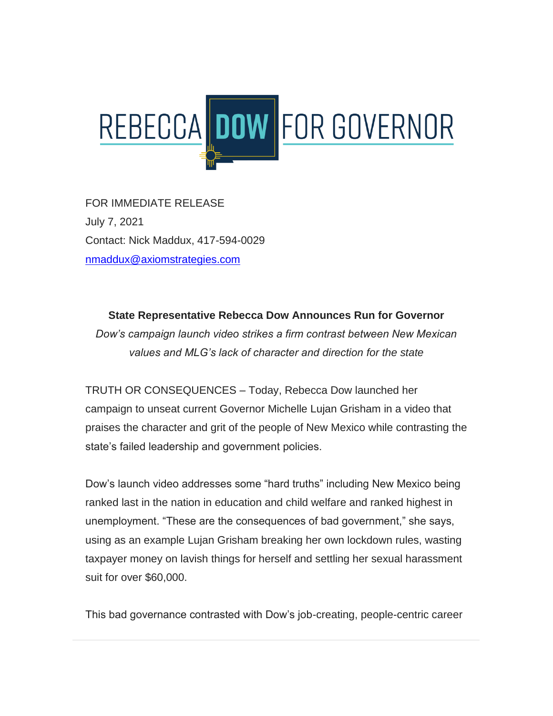

FOR IMMEDIATE RELEASE July 7, 2021 Contact: Nick Maddux, 417-594-0029 [nmaddux@axiomstrategies.com](mailto:nmaddux@axiomstrategies.com)

**State Representative Rebecca Dow Announces Run for Governor** *Dow's campaign launch video strikes a firm contrast between New Mexican values and MLG's lack of character and direction for the state*

TRUTH OR CONSEQUENCES – Today, Rebecca Dow launched her campaign to unseat current Governor Michelle Lujan Grisham in a video that praises the character and grit of the people of New Mexico while contrasting the state's failed leadership and government policies.

Dow's launch video addresses some "hard truths" including New Mexico being ranked last in the nation in education and child welfare and ranked highest in unemployment. "These are the consequences of bad government," she says, using as an example Lujan Grisham breaking her own lockdown rules, wasting taxpayer money on lavish things for herself and settling her sexual harassment suit for over \$60,000.

This bad governance contrasted with Dow's job-creating, people-centric career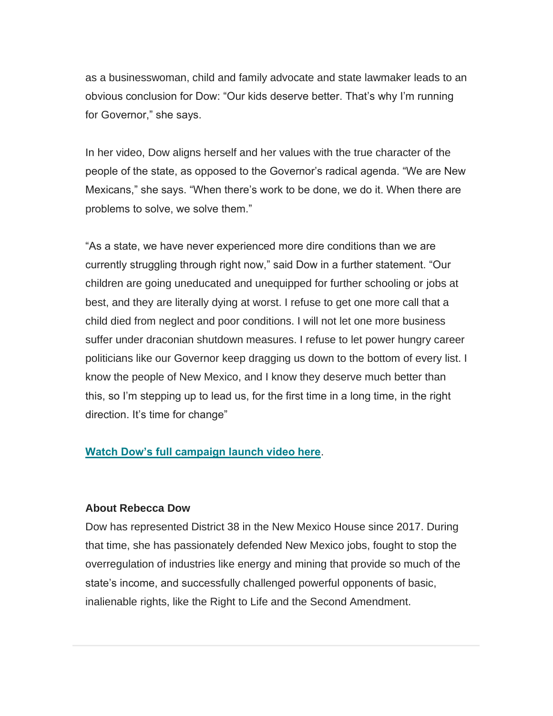as a businesswoman, child and family advocate and state lawmaker leads to an obvious conclusion for Dow: "Our kids deserve better. That's why I'm running for Governor," she says.

In her video, Dow aligns herself and her values with the true character of the people of the state, as opposed to the Governor's radical agenda. "We are New Mexicans," she says. "When there's work to be done, we do it. When there are problems to solve, we solve them."

"As a state, we have never experienced more dire conditions than we are currently struggling through right now," said Dow in a further statement. "Our children are going uneducated and unequipped for further schooling or jobs at best, and they are literally dying at worst. I refuse to get one more call that a child died from neglect and poor conditions. I will not let one more business suffer under draconian shutdown measures. I refuse to let power hungry career politicians like our Governor keep dragging us down to the bottom of every list. I know the people of New Mexico, and I know they deserve much better than this, so I'm stepping up to lead us, for the first time in a long time, in the right direction. It's time for change"

## **[Watch Dow's full campaign launch video here](https://dowforhouse.us20.list-manage.com/track/click?u=de21bc46d4b9fcff023de0217&id=1e06bee396&e=534b99ed4d)**.

## **About Rebecca Dow**

Dow has represented District 38 in the New Mexico House since 2017. During that time, she has passionately defended New Mexico jobs, fought to stop the overregulation of industries like energy and mining that provide so much of the state's income, and successfully challenged powerful opponents of basic, inalienable rights, like the Right to Life and the Second Amendment.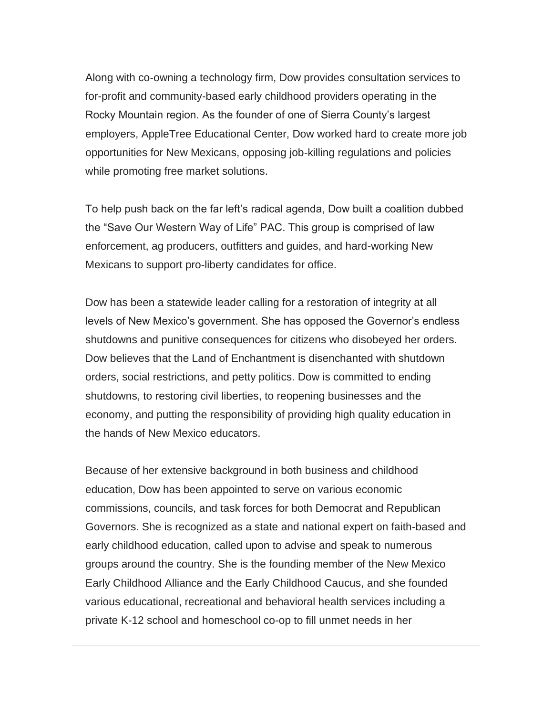Along with co-owning a technology firm, Dow provides consultation services to for-profit and community-based early childhood providers operating in the Rocky Mountain region. As the founder of one of Sierra County's largest employers, AppleTree Educational Center, Dow worked hard to create more job opportunities for New Mexicans, opposing job-killing regulations and policies while promoting free market solutions.

To help push back on the far left's radical agenda, Dow built a coalition dubbed the "Save Our Western Way of Life" PAC. This group is comprised of law enforcement, ag producers, outfitters and guides, and hard-working New Mexicans to support pro-liberty candidates for office.

Dow has been a statewide leader calling for a restoration of integrity at all levels of New Mexico's government. She has opposed the Governor's endless shutdowns and punitive consequences for citizens who disobeyed her orders. Dow believes that the Land of Enchantment is disenchanted with shutdown orders, social restrictions, and petty politics. Dow is committed to ending shutdowns, to restoring civil liberties, to reopening businesses and the economy, and putting the responsibility of providing high quality education in the hands of New Mexico educators.

Because of her extensive background in both business and childhood education, Dow has been appointed to serve on various economic commissions, councils, and task forces for both Democrat and Republican Governors. She is recognized as a state and national expert on faith-based and early childhood education, called upon to advise and speak to numerous groups around the country. She is the founding member of the New Mexico Early Childhood Alliance and the Early Childhood Caucus, and she founded various educational, recreational and behavioral health services including a private K-12 school and homeschool co-op to fill unmet needs in her